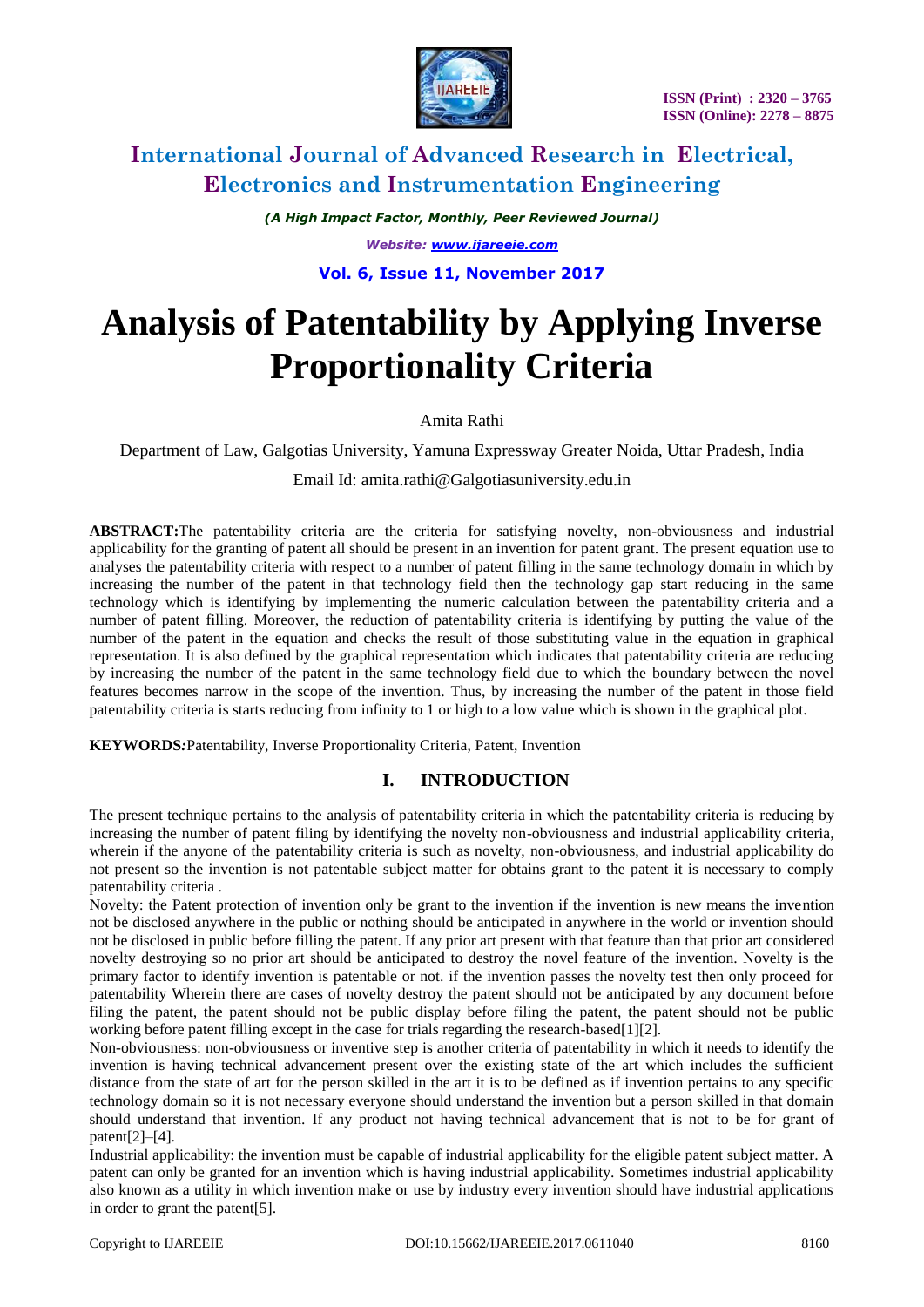

*(A High Impact Factor, Monthly, Peer Reviewed Journal) Website: [www.ijareeie.com](http://www.ijareeie.com/)* **Vol. 6, Issue 11, November 2017**

# **Analysis of Patentability by Applying Inverse Proportionality Criteria**

Amita Rathi

Department of Law, Galgotias University, Yamuna Expressway Greater Noida, Uttar Pradesh, India

Email Id: amita.rathi@Galgotiasuniversity.edu.in

**ABSTRACT:**The patentability criteria are the criteria for satisfying novelty, non-obviousness and industrial applicability for the granting of patent all should be present in an invention for patent grant. The present equation use to analyses the patentability criteria with respect to a number of patent filling in the same technology domain in which by increasing the number of the patent in that technology field then the technology gap start reducing in the same technology which is identifying by implementing the numeric calculation between the patentability criteria and a number of patent filling. Moreover, the reduction of patentability criteria is identifying by putting the value of the number of the patent in the equation and checks the result of those substituting value in the equation in graphical representation. It is also defined by the graphical representation which indicates that patentability criteria are reducing by increasing the number of the patent in the same technology field due to which the boundary between the novel features becomes narrow in the scope of the invention. Thus, by increasing the number of the patent in those field patentability criteria is starts reducing from infinity to 1 or high to a low value which is shown in the graphical plot.

**KEYWORDS***:*Patentability, Inverse Proportionality Criteria, Patent, Invention

### **I. INTRODUCTION**

The present technique pertains to the analysis of patentability criteria in which the patentability criteria is reducing by increasing the number of patent filing by identifying the novelty non-obviousness and industrial applicability criteria, wherein if the anyone of the patentability criteria is such as novelty, non-obviousness, and industrial applicability do not present so the invention is not patentable subject matter for obtains grant to the patent it is necessary to comply patentability criteria .

Novelty: the Patent protection of invention only be grant to the invention if the invention is new means the invention not be disclosed anywhere in the public or nothing should be anticipated in anywhere in the world or invention should not be disclosed in public before filling the patent. If any prior art present with that feature than that prior art considered novelty destroying so no prior art should be anticipated to destroy the novel feature of the invention. Novelty is the primary factor to identify invention is patentable or not. if the invention passes the novelty test then only proceed for patentability Wherein there are cases of novelty destroy the patent should not be anticipated by any document before filing the patent, the patent should not be public display before filing the patent, the patent should not be public working before patent filling except in the case for trials regarding the research-based[1][2].

Non-obviousness: non-obviousness or inventive step is another criteria of patentability in which it needs to identify the invention is having technical advancement present over the existing state of the art which includes the sufficient distance from the state of art for the person skilled in the art it is to be defined as if invention pertains to any specific technology domain so it is not necessary everyone should understand the invention but a person skilled in that domain should understand that invention. If any product not having technical advancement that is not to be for grant of patent[2]–[4].

Industrial applicability: the invention must be capable of industrial applicability for the eligible patent subject matter. A patent can only be granted for an invention which is having industrial applicability. Sometimes industrial applicability also known as a utility in which invention make or use by industry every invention should have industrial applications in order to grant the patent[5].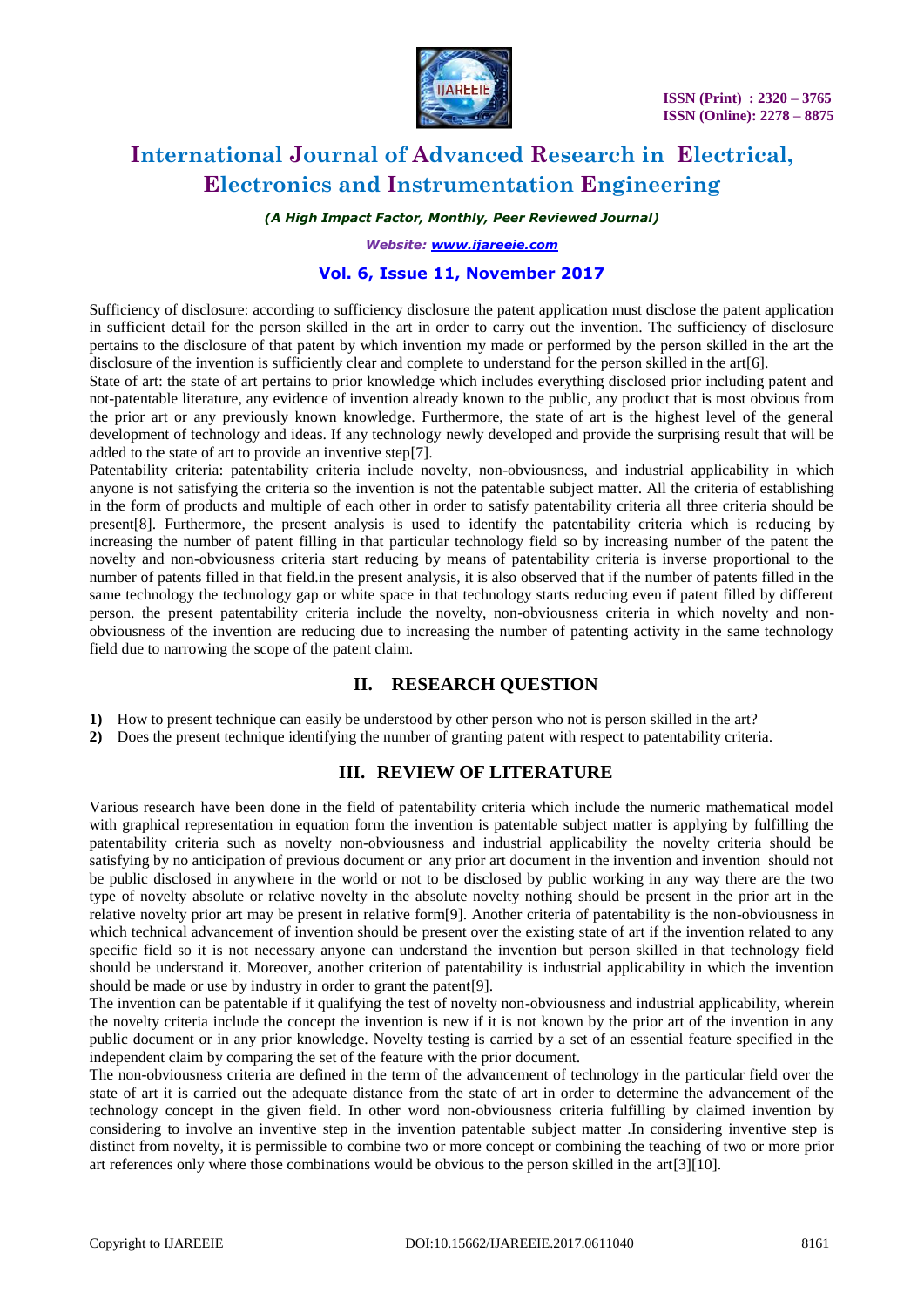

*(A High Impact Factor, Monthly, Peer Reviewed Journal)*

*Website: [www.ijareeie.com](http://www.ijareeie.com/)*

#### **Vol. 6, Issue 11, November 2017**

Sufficiency of disclosure: according to sufficiency disclosure the patent application must disclose the patent application in sufficient detail for the person skilled in the art in order to carry out the invention. The sufficiency of disclosure pertains to the disclosure of that patent by which invention my made or performed by the person skilled in the art the disclosure of the invention is sufficiently clear and complete to understand for the person skilled in the art[6].

State of art: the state of art pertains to prior knowledge which includes everything disclosed prior including patent and not-patentable literature, any evidence of invention already known to the public, any product that is most obvious from the prior art or any previously known knowledge. Furthermore, the state of art is the highest level of the general development of technology and ideas. If any technology newly developed and provide the surprising result that will be added to the state of art to provide an inventive step[7].

Patentability criteria: patentability criteria include novelty, non-obviousness, and industrial applicability in which anyone is not satisfying the criteria so the invention is not the patentable subject matter. All the criteria of establishing in the form of products and multiple of each other in order to satisfy patentability criteria all three criteria should be present[8]. Furthermore, the present analysis is used to identify the patentability criteria which is reducing by increasing the number of patent filling in that particular technology field so by increasing number of the patent the novelty and non-obviousness criteria start reducing by means of patentability criteria is inverse proportional to the number of patents filled in that field.in the present analysis, it is also observed that if the number of patents filled in the same technology the technology gap or white space in that technology starts reducing even if patent filled by different person. the present patentability criteria include the novelty, non-obviousness criteria in which novelty and nonobviousness of the invention are reducing due to increasing the number of patenting activity in the same technology field due to narrowing the scope of the patent claim.

### **II. RESEARCH QUESTION**

- **1)** How to present technique can easily be understood by other person who not is person skilled in the art?
- **2)** Does the present technique identifying the number of granting patent with respect to patentability criteria.

### **III. REVIEW OF LITERATURE**

Various research have been done in the field of patentability criteria which include the numeric mathematical model with graphical representation in equation form the invention is patentable subject matter is applying by fulfilling the patentability criteria such as novelty non-obviousness and industrial applicability the novelty criteria should be satisfying by no anticipation of previous document or any prior art document in the invention and invention should not be public disclosed in anywhere in the world or not to be disclosed by public working in any way there are the two type of novelty absolute or relative novelty in the absolute novelty nothing should be present in the prior art in the relative novelty prior art may be present in relative form[9]. Another criteria of patentability is the non-obviousness in which technical advancement of invention should be present over the existing state of art if the invention related to any specific field so it is not necessary anyone can understand the invention but person skilled in that technology field should be understand it. Moreover, another criterion of patentability is industrial applicability in which the invention should be made or use by industry in order to grant the patent[9].

The invention can be patentable if it qualifying the test of novelty non-obviousness and industrial applicability, wherein the novelty criteria include the concept the invention is new if it is not known by the prior art of the invention in any public document or in any prior knowledge. Novelty testing is carried by a set of an essential feature specified in the independent claim by comparing the set of the feature with the prior document.

The non-obviousness criteria are defined in the term of the advancement of technology in the particular field over the state of art it is carried out the adequate distance from the state of art in order to determine the advancement of the technology concept in the given field. In other word non-obviousness criteria fulfilling by claimed invention by considering to involve an inventive step in the invention patentable subject matter .In considering inventive step is distinct from novelty, it is permissible to combine two or more concept or combining the teaching of two or more prior art references only where those combinations would be obvious to the person skilled in the art[3][10].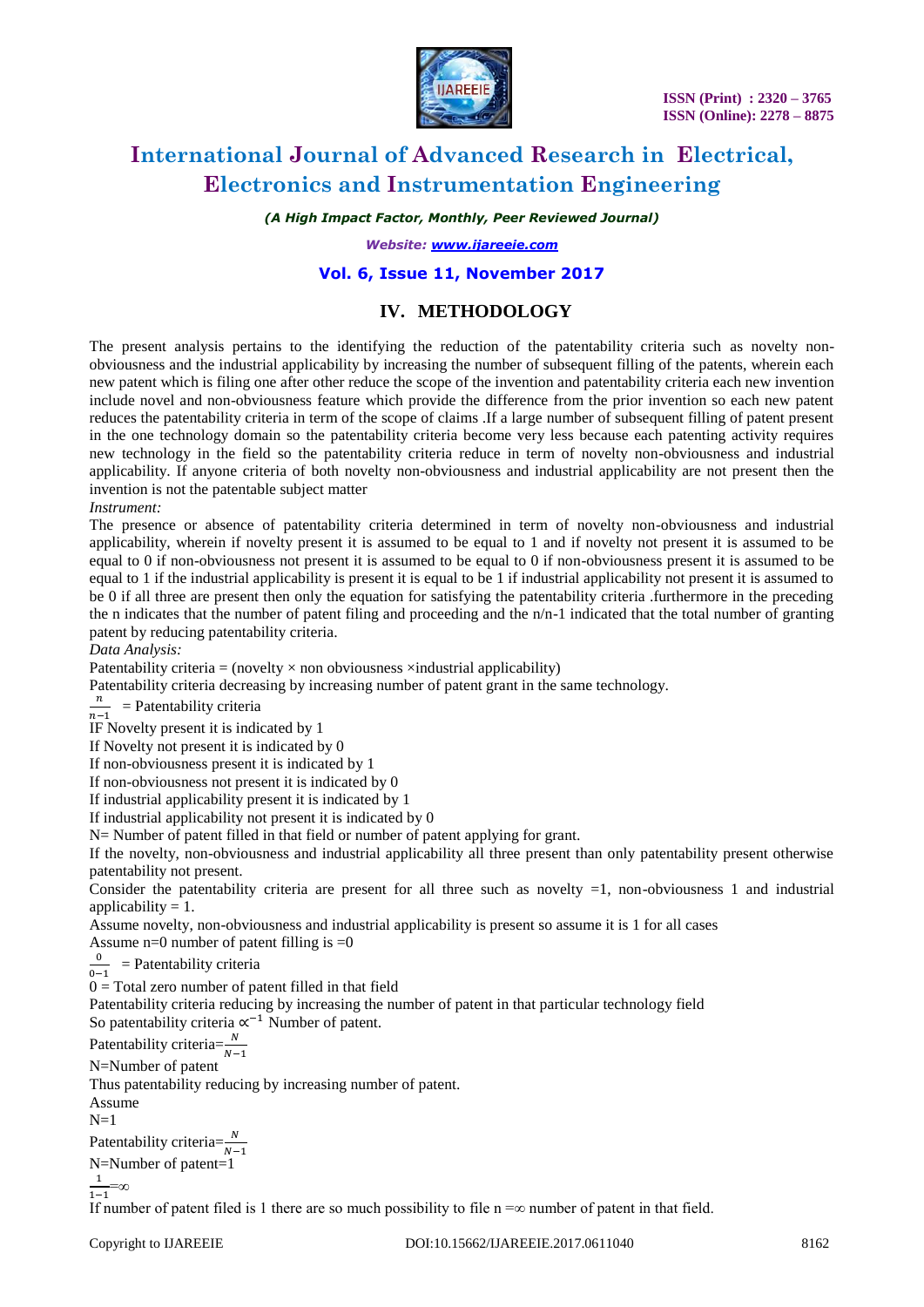

*(A High Impact Factor, Monthly, Peer Reviewed Journal)*

*Website: [www.ijareeie.com](http://www.ijareeie.com/)*

#### **Vol. 6, Issue 11, November 2017**

### **IV. METHODOLOGY**

The present analysis pertains to the identifying the reduction of the patentability criteria such as novelty nonobviousness and the industrial applicability by increasing the number of subsequent filling of the patents, wherein each new patent which is filing one after other reduce the scope of the invention and patentability criteria each new invention include novel and non-obviousness feature which provide the difference from the prior invention so each new patent reduces the patentability criteria in term of the scope of claims .If a large number of subsequent filling of patent present in the one technology domain so the patentability criteria become very less because each patenting activity requires new technology in the field so the patentability criteria reduce in term of novelty non-obviousness and industrial applicability. If anyone criteria of both novelty non-obviousness and industrial applicability are not present then the invention is not the patentable subject matter

#### *Instrument:*

The presence or absence of patentability criteria determined in term of novelty non-obviousness and industrial applicability, wherein if novelty present it is assumed to be equal to 1 and if novelty not present it is assumed to be equal to 0 if non-obviousness not present it is assumed to be equal to 0 if non-obviousness present it is assumed to be equal to 1 if the industrial applicability is present it is equal to be 1 if industrial applicability not present it is assumed to be 0 if all three are present then only the equation for satisfying the patentability criteria .furthermore in the preceding the n indicates that the number of patent filing and proceeding and the n/n-1 indicated that the total number of granting patent by reducing patentability criteria.

*Data Analysis:*

Patentability criteria = (novelty  $\times$  non obviousness  $\times$ industrial applicability)

Patentability criteria decreasing by increasing number of patent grant in the same technology.

n  $\frac{n}{n-1}$  = Patentability criteria

IF Novelty present it is indicated by 1

If Novelty not present it is indicated by 0

If non-obviousness present it is indicated by 1

If non-obviousness not present it is indicated by 0

If industrial applicability present it is indicated by 1

If industrial applicability not present it is indicated by 0

N= Number of patent filled in that field or number of patent applying for grant.

If the novelty, non-obviousness and industrial applicability all three present than only patentability present otherwise patentability not present.

Consider the patentability criteria are present for all three such as novelty  $=1$ , non-obviousness 1 and industrial applicability  $= 1$ .

Assume novelty, non-obviousness and industrial applicability is present so assume it is 1 for all cases Assume  $n=0$  number of patent filling is  $=0$ 

 $\frac{0}{1}$  = Patentability criteria  $0 - 1$ 

 $0 =$ Total zero number of patent filled in that field

Patentability criteria reducing by increasing the number of patent in that particular technology field

So patentability criteria  $\propto^{-1}$  Number of patent.

Patentability criteria= $\frac{N}{N-1}$ 

N=Number of patent

Thus patentability reducing by increasing number of patent.

Assume

 $N=1$ 

Patentability criteria= $\frac{N}{N-1}$ 

N=Number of patent=1

$$
\frac{1}{1-1} = \infty
$$

If number of patent filed is 1 there are so much possibility to file n =∞ number of patent in that field.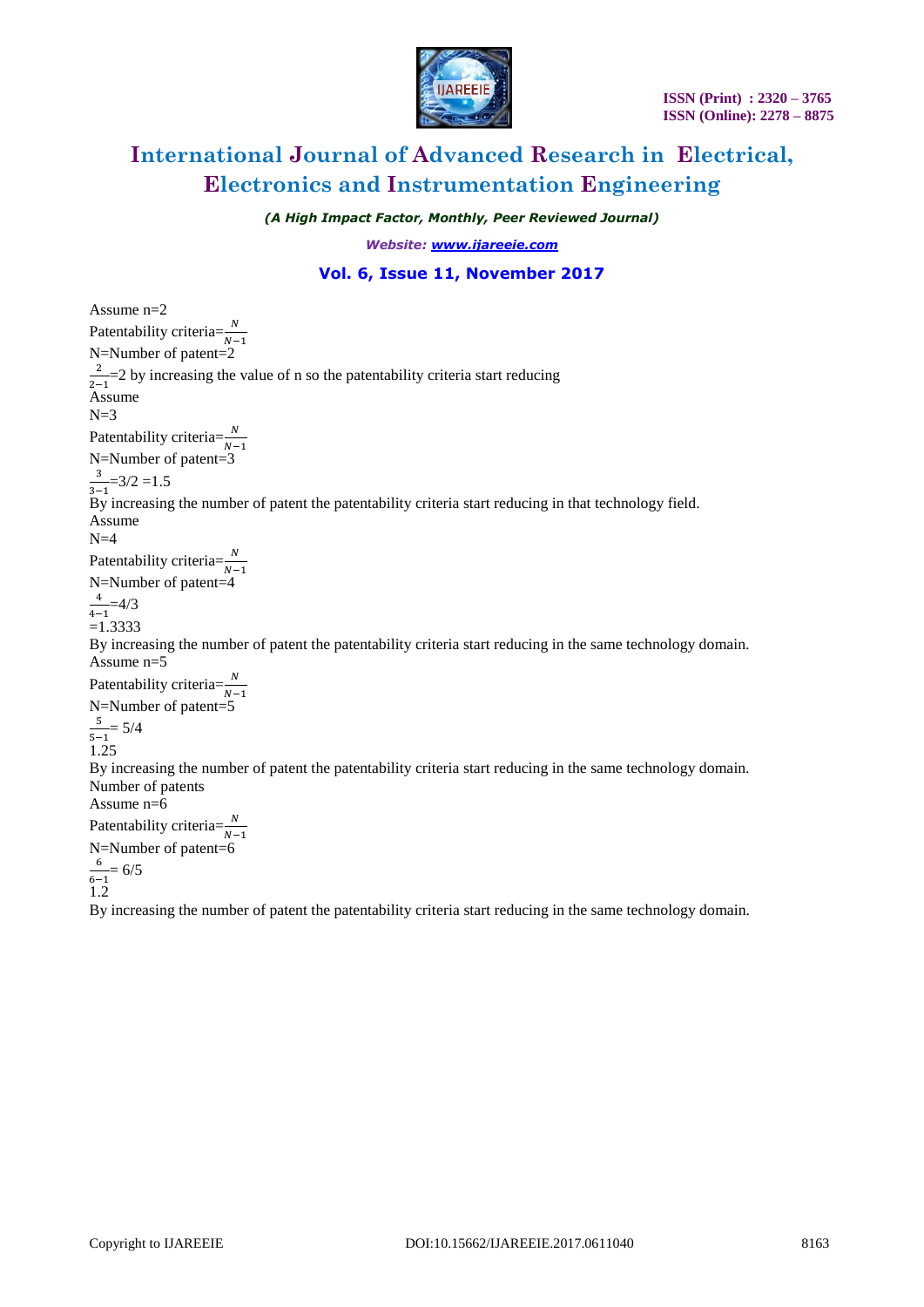

*(A High Impact Factor, Monthly, Peer Reviewed Journal)*

*Website: [www.ijareeie.com](http://www.ijareeie.com/)*

### **Vol. 6, Issue 11, November 2017**

Assume n=2 Patentability criteria= $\frac{N}{N-1}$ N=Number of patent=2  $\overline{\mathbf{c}}$  $\frac{2}{2-1}$ =2 by increasing the value of n so the patentability criteria start reducing Assume  $N=3$ Patentability criteria= $\frac{N}{N-N}$ <br>N=Number of patent=3 3  $\frac{3}{3-1}$ =3/2 =1.5 By increasing the number of patent the patentability criteria start reducing in that technology field. Assume  $N=4$ Patentability criteria= $\frac{N}{N-1}$ N=Number of patent=4 4  $\frac{4}{4-1}$ =4/3 =1.3333 By increasing the number of patent the patentability criteria start reducing in the same technology domain. Assume n=5 Patentability criteria= $\frac{N}{N-1}$ N=Number of patent=5 5  $\frac{3}{5-1}$  = 5/4 1.25 By increasing the number of patent the patentability criteria start reducing in the same technology domain. Number of patents Assume n=6 Patentability criteria= $\frac{N}{N-1}$ N=Number of patent=6 6  $\frac{6}{6-1}$  = 6/5 1.2

By increasing the number of patent the patentability criteria start reducing in the same technology domain.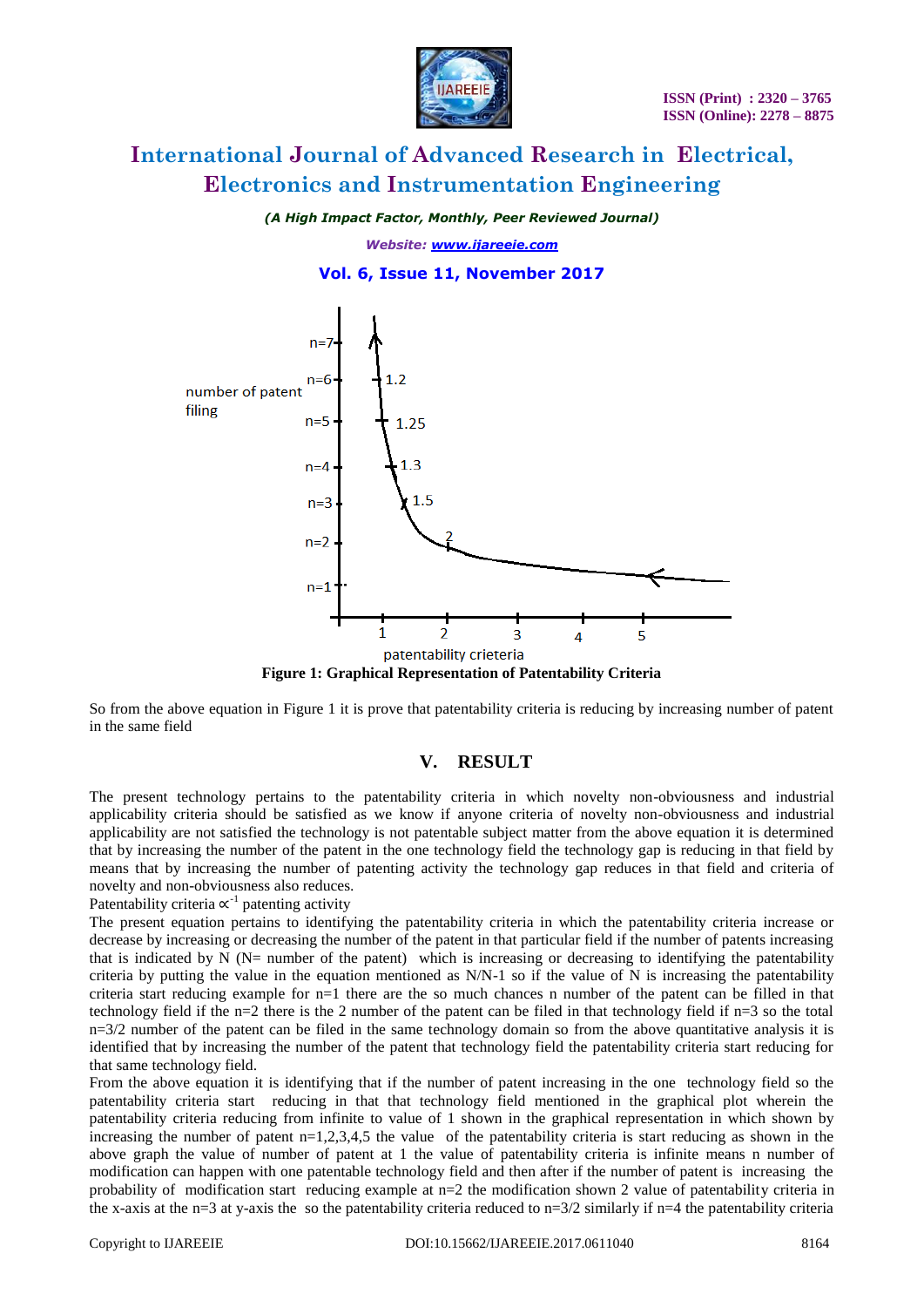

*(A High Impact Factor, Monthly, Peer Reviewed Journal)*

*Website: [www.ijareeie.com](http://www.ijareeie.com/)*





**Figure 1: Graphical Representation of Patentability Criteria**

So from the above equation in Figure 1 it is prove that patentability criteria is reducing by increasing number of patent in the same field

#### **V. RESULT**

The present technology pertains to the patentability criteria in which novelty non-obviousness and industrial applicability criteria should be satisfied as we know if anyone criteria of novelty non-obviousness and industrial applicability are not satisfied the technology is not patentable subject matter from the above equation it is determined that by increasing the number of the patent in the one technology field the technology gap is reducing in that field by means that by increasing the number of patenting activity the technology gap reduces in that field and criteria of novelty and non-obviousness also reduces.

Patentability criteria  $\propto^{-1}$  patenting activity

The present equation pertains to identifying the patentability criteria in which the patentability criteria increase or decrease by increasing or decreasing the number of the patent in that particular field if the number of patents increasing that is indicated by  $\tilde{N}$  (N= number of the patent) which is increasing or decreasing to identifying the patentability criteria by putting the value in the equation mentioned as  $N/N-1$  so if the value of N is increasing the patentability criteria start reducing example for n=1 there are the so much chances n number of the patent can be filled in that technology field if the  $n=2$  there is the 2 number of the patent can be filed in that technology field if  $n=3$  so the total  $n=3/2$  number of the patent can be filed in the same technology domain so from the above quantitative analysis it is identified that by increasing the number of the patent that technology field the patentability criteria start reducing for that same technology field.

From the above equation it is identifying that if the number of patent increasing in the one technology field so the patentability criteria start reducing in that that technology field mentioned in the graphical plot wherein the patentability criteria reducing from infinite to value of 1 shown in the graphical representation in which shown by increasing the number of patent  $n=1,2,3,4,5$  the value of the patentability criteria is start reducing as shown in the above graph the value of number of patent at 1 the value of patentability criteria is infinite means n number of modification can happen with one patentable technology field and then after if the number of patent is increasing the probability of modification start reducing example at n=2 the modification shown 2 value of patentability criteria in the x-axis at the n=3 at y-axis the so the patentability criteria reduced to  $n=3/2$  similarly if  $n=4$  the patentability criteria